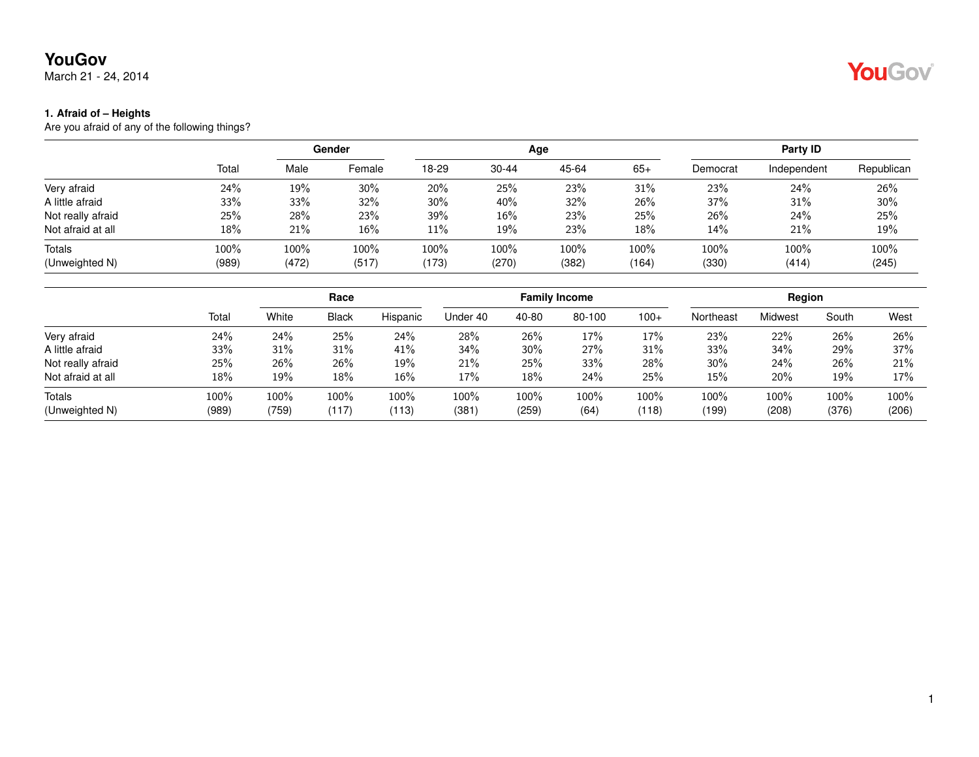March 21 - 24, 2014

#### **1. Afraid of – Heights**

|       | Gender |        |       |           |       | Party ID |                                                             |               |               |
|-------|--------|--------|-------|-----------|-------|----------|-------------------------------------------------------------|---------------|---------------|
| Total | Male   | Female | 18-29 | $30 - 44$ | 45-64 | $65+$    | Democrat                                                    | Independent   | Republican    |
| 24%   | 19%    | 30%    | 20%   | 25%       | 23%   | 31%      | 23%                                                         | 24%           | 26%           |
| 33%   | 33%    | 32%    | 30%   | 40%       | 32%   | 26%      | 37%                                                         | 31%           | 30%           |
| 25%   | 28%    | 23%    | 39%   | 16%       | 23%   | 25%      | 26%                                                         | 24%           | 25%           |
| 18%   | 21%    | $16\%$ | 11%   | 19%       | 23%   | 18%      | 14%                                                         | 21%           | 19%           |
| 100%  | 100%   | 100%   | 100%  | 100%      | 100%  | 100%     | 100%<br>(330)                                               | 100%<br>(414) | 100%<br>(245) |
|       |        |        |       |           |       | Age      | (989)<br>(173)<br>(472)<br>(517)<br>(270)<br>(382)<br>(164) |               |               |

|                   |       |       | Race         |          |          |       | <b>Family Income</b> |        | Region    |         |         |       |
|-------------------|-------|-------|--------------|----------|----------|-------|----------------------|--------|-----------|---------|---------|-------|
|                   | Total | White | <b>Black</b> | Hispanic | Under 40 | 40-80 | 80-100               | $100+$ | Northeast | Midwest | South   | West  |
| Very afraid       | 24%   | 24%   | 25%          | 24%      | 28%      | 26%   | 17%                  | 17%    | 23%       | 22%     | 26%     | 26%   |
| A little afraid   | 33%   | 31%   | 31%          | 41%      | 34%      | 30%   | 27%                  | 31%    | 33%       | 34%     | 29%     | 37%   |
| Not really afraid | 25%   | 26%   | 26%          | 19%      | 21%      | 25%   | 33%                  | 28%    | 30%       | 24%     | 26%     | 21%   |
| Not afraid at all | 18%   | 19%   | 18%          | 16%      | 17%      | 18%   | 24%                  | 25%    | 15%       | 20%     | 19%     | 17%   |
| Totals            | 100%  | 100%  | $100\%$      | 100%     | 100%     | 100%  | 100%                 | 100%   | 100%      | 100%    | $100\%$ | 100%  |
| (Unweighted N)    | (989) | (759) | (117)        | (113)    | (381)    | (259) | (64)                 | (118)  | (199)     | (208)   | (376)   | (206) |

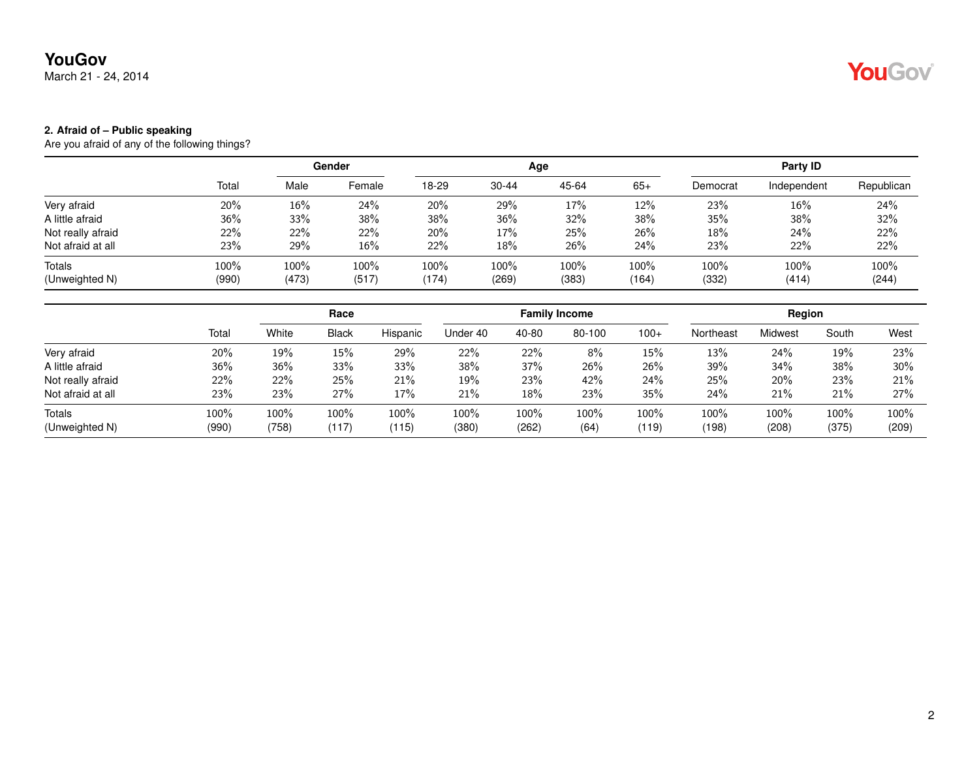March 21 - 24, 2014

## YouGov®

#### **2. Afraid of – Public speaking**

|               | Gender        |                  |                  |               |               | Party ID      |               |               |               |
|---------------|---------------|------------------|------------------|---------------|---------------|---------------|---------------|---------------|---------------|
| Total         | Male          | Female           | 18-29            | $30 - 44$     | 45-64         | $65+$         | Democrat      | Independent   | Republican    |
| 20%           | 16%           | 24%              | 20%              | 29%           | 17%           | 12%           | 23%           | 16%           | 24%           |
| 36%           | 33%           | 38%              | 38%              | 36%           | 32%           | 38%           | 35%           | 38%           | 32%           |
| 22%           | 22%           | 22%              | 20%              | 17%           | 25%           | 26%           | 18%           | 24%           | 22%           |
| 23%           | 29%           | $16\%$           | 22%              | 18%           | 26%           | 24%           | 23%           | 22%           | 22%           |
| 100%<br>(990) | 100%<br>(473) | $100\%$<br>(517) | $100\%$<br>(174) | 100%<br>(269) | 100%<br>(383) | 100%<br>(164) | 100%<br>(332) | 100%<br>(414) | 100%<br>(244) |
|               |               |                  |                  |               |               | Age           |               |               |               |

|                   |       |       | Race         |          |          |       | <b>Family Income</b> |        | Region    |         |       |       |
|-------------------|-------|-------|--------------|----------|----------|-------|----------------------|--------|-----------|---------|-------|-------|
|                   | Total | White | <b>Black</b> | Hispanic | Under 40 | 40-80 | 80-100               | $100+$ | Northeast | Midwest | South | West  |
| Very afraid       | 20%   | 19%   | $15\%$       | 29%      | 22%      | 22%   | 8%                   | $15\%$ | 13%       | 24%     | 19%   | 23%   |
| A little afraid   | 36%   | 36%   | 33%          | 33%      | 38%      | 37%   | 26%                  | 26%    | 39%       | 34%     | 38%   | 30%   |
| Not really afraid | 22%   | 22%   | 25%          | 21%      | 19%      | 23%   | 42%                  | 24%    | 25%       | 20%     | 23%   | 21%   |
| Not afraid at all | 23%   | 23%   | 27%          | 17%      | 21%      | 18%   | 23%                  | 35%    | 24%       | 21%     | 21%   | 27%   |
| Totals            | 100%  | 100%  | 100%         | 100%     | 100%     | 100%  | 100%                 | 100%   | 100%      | 100%    | 100%  | 100%  |
| (Unweighted N)    | (990) | (758) | (117)        | (115)    | (380)    | (262) | (64)                 | (119)  | (198)     | (208)   | (375) | (209) |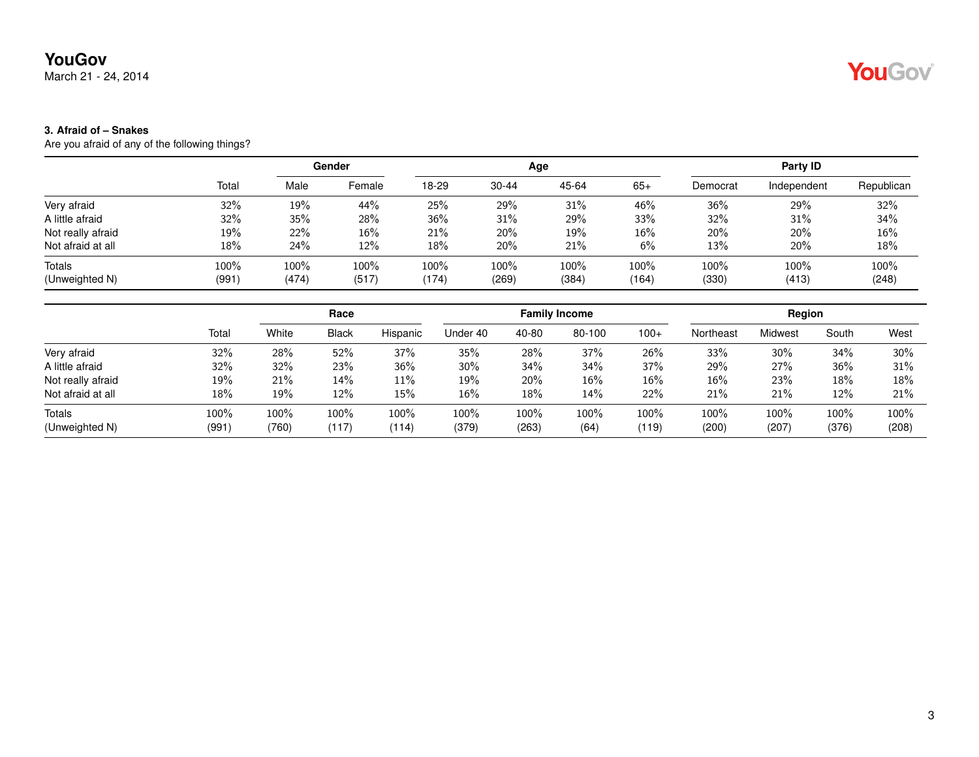March 21 - 24, 2014

#### **3. Afraid of – Snakes**

Are you afraid of any of the following things?

|                   |       | Gender |         |       |           | Age   | Party ID |          |             |            |
|-------------------|-------|--------|---------|-------|-----------|-------|----------|----------|-------------|------------|
|                   | Total | Male   | Female  | 18-29 | $30 - 44$ | 45-64 | $65+$    | Democrat | Independent | Republican |
| Very afraid       | 32%   | 19%    | 44%     | 25%   | 29%       | 31%   | 46%      | 36%      | 29%         | 32%        |
| A little afraid   | 32%   | 35%    | 28%     | 36%   | 31%       | 29%   | 33%      | 32%      | 31%         | 34%        |
| Not really afraid | 19%   | 22%    | $16\%$  | 21%   | 20%       | 19%   | $16\%$   | 20%      | 20%         | 16%        |
| Not afraid at all | 18%   | 24%    | 12%     | 18%   | 20%       | 21%   | 6%       | 13%      | 20%         | 18%        |
| Totals            | 100%  | 100%   | $100\%$ | 100%  | 100%      | 100%  | 100%     | 100%     | $100\%$     | 100%       |
| (Unweighted N)    | (991) | (474)  | (517)   | (174) | (269)     | (384) | (164)    | (330)    | (413)       | (248)      |

|                   |       | Race  |              |          |          |       | <b>Family Income</b> |        | Region    |         |       |       |
|-------------------|-------|-------|--------------|----------|----------|-------|----------------------|--------|-----------|---------|-------|-------|
|                   | Total | White | <b>Black</b> | Hispanic | Under 40 | 40-80 | 80-100               | $100+$ | Northeast | Midwest | South | West  |
| Very afraid       | 32%   | 28%   | 52%          | 37%      | 35%      | 28%   | 37%                  | 26%    | 33%       | 30%     | 34%   | 30%   |
| A little afraid   | 32%   | 32%   | 23%          | 36%      | 30%      | 34%   | 34%                  | 37%    | 29%       | 27%     | 36%   | 31%   |
| Not really afraid | 19%   | 21%   | 14%          | 11%      | 19%      | 20%   | 16%                  | 16%    | 16%       | 23%     | 18%   | 18%   |
| Not afraid at all | 18%   | 19%   | 12%          | 15%      | 16%      | 18%   | 14%                  | 22%    | 21%       | 21%     | 12%   | 21%   |
| Totals            | 100%  | 100%  | 100%         | 100%     | 100%     | 100%  | 100%                 | 100%   | 100%      | 100%    | 100%  | 100%  |
| (Unweighted N)    | (991) | (760) | (117)        | (114)    | (379)    | (263) | (64)                 | (119)  | (200)     | (207)   | (376) | (208) |

## YouGov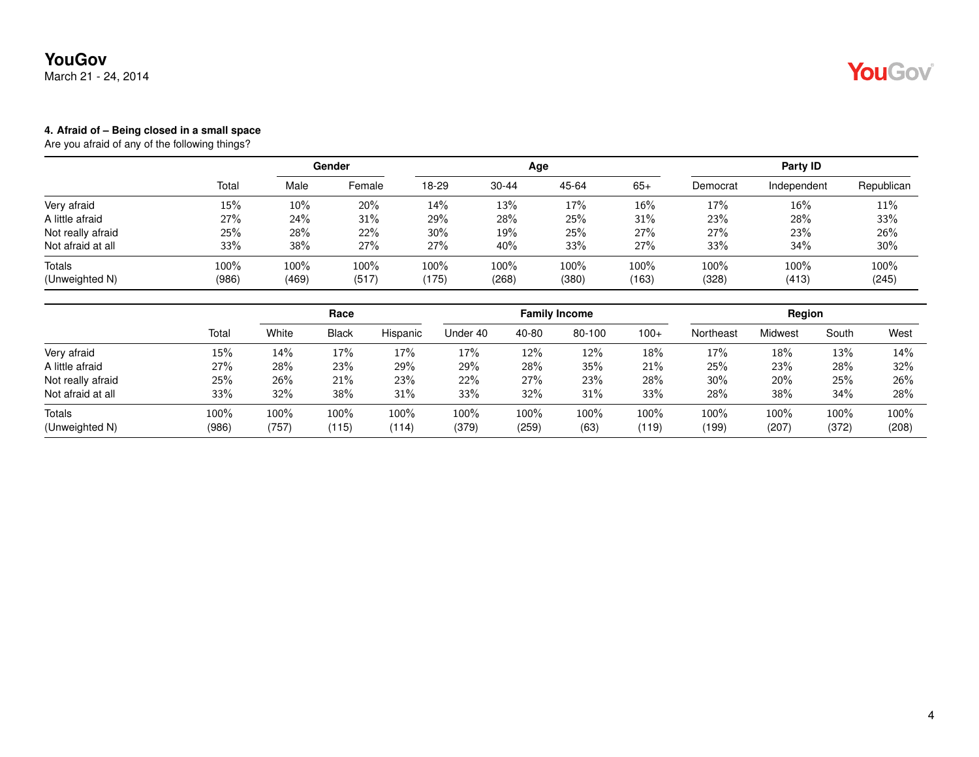March 21 - 24, 2014

## YouGov

#### **4. Afraid of – Being closed in a small space**

|                          |               | <b>Gender</b>    |                  |               |                  | Age           | Party ID      |                  |               |               |
|--------------------------|---------------|------------------|------------------|---------------|------------------|---------------|---------------|------------------|---------------|---------------|
|                          | Total         | Male             | Female           | 18-29         | $30 - 44$        | 45-64         | $65+$         | Democrat         | Independent   | Republican    |
| Very afraid              | 15%           | $10\%$           | 20%              | 14%           | 13%              | 17%           | 16%           | 17%              | 16%           | 11%           |
| A little afraid          | 27%           | 24%              | 31%              | 29%           | 28%              | 25%           | 31%           | 23%              | 28%           | 33%           |
| Not really afraid        | 25%           | 28%              | 22%              | 30%           | 19%              | 25%           | 27%           | 27%              | 23%           | 26%           |
| Not afraid at all        | 33%           | 38%              | 27%              | 27%           | 40%              | 33%           | 27%           | 33%              | 34%           | 30%           |
| Totals<br>(Unweighted N) | 100%<br>(986) | $100\%$<br>(469) | $100\%$<br>(517) | 100%<br>(175) | $100\%$<br>(268) | 100%<br>(380) | 100%<br>(163) | $100\%$<br>(328) | 100%<br>(413) | 100%<br>(245) |

|                   |       |       |              | Race     |          |       | <b>Family Income</b> |        | Region    |         |       |       |
|-------------------|-------|-------|--------------|----------|----------|-------|----------------------|--------|-----------|---------|-------|-------|
|                   | Total | White | <b>Black</b> | Hispanic | Under 40 | 40-80 | 80-100               | $100+$ | Northeast | Midwest | South | West  |
| Very afraid       | 15%   | 14%   | 17%          | 17%      | 17%      | 12%   | 12%                  | 18%    | 17%       | 18%     | 13%   | 14%   |
| A little afraid   | 27%   | 28%   | 23%          | 29%      | 29%      | 28%   | 35%                  | 21%    | 25%       | 23%     | 28%   | 32%   |
| Not really afraid | 25%   | 26%   | 21%          | 23%      | 22%      | 27%   | 23%                  | 28%    | 30%       | 20%     | 25%   | 26%   |
| Not afraid at all | 33%   | 32%   | 38%          | 31%      | 33%      | 32%   | 31%                  | 33%    | 28%       | 38%     | 34%   | 28%   |
| Totals            | 100%  | 100%  | 100%         | 100%     | 100%     | 100%  | 100%                 | 100%   | 100%      | 100%    | 100%  | 100%  |
| (Unweighted N)    | (986) | (757) | (115)        | (114)    | (379)    | (259) | (63)                 | (119)  | (199)     | (207)   | (372) | (208) |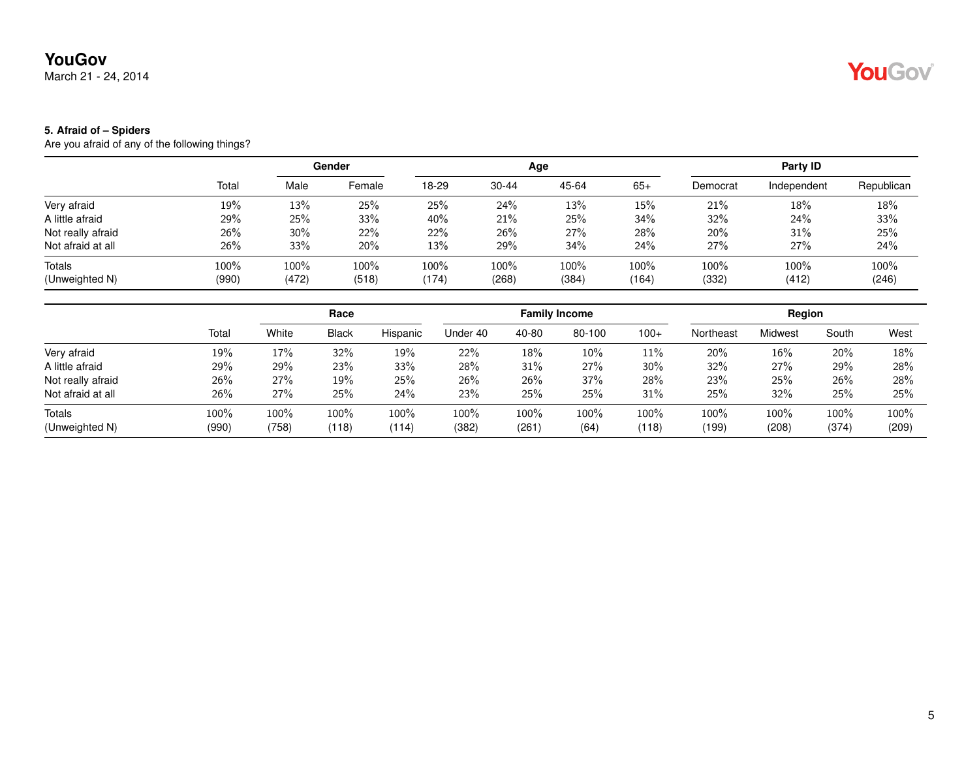March 21 - 24, 2014

# YouGov

#### **5. Afraid of – Spiders**

|                   |       | Gender |        |       |           | Age   | Party ID |          |             |            |
|-------------------|-------|--------|--------|-------|-----------|-------|----------|----------|-------------|------------|
|                   | Total | Male   | Female | 18-29 | $30 - 44$ | 45-64 | $65+$    | Democrat | Independent | Republican |
| Very afraid       | 19%   | 13%    | 25%    | 25%   | 24%       | 13%   | 15%      | 21%      | 18%         | 18%        |
| A little afraid   | 29%   | 25%    | 33%    | 40%   | 21%       | 25%   | 34%      | 32%      | 24%         | 33%        |
| Not really afraid | 26%   | 30%    | 22%    | 22%   | 26%       | 27%   | 28%      | 20%      | 31%         | 25%        |
| Not afraid at all | 26%   | 33%    | 20%    | 13%   | 29%       | 34%   | 24%      | 27%      | 27%         | 24%        |
| Totals            | 100%  | 100%   | 100%   | 100%  | $100\%$   | 100%  | 100%     | 100%     | 100%        | 100%       |
| (Unweighted N)    | (990) | (472)  | (518)  | (174) | (268)     | (384) | (164)    | (332)    | (412)       | (246)      |

|                   |       |       | Race         |          |          |       | <b>Family Income</b> |        |           | Region  |       |       |
|-------------------|-------|-------|--------------|----------|----------|-------|----------------------|--------|-----------|---------|-------|-------|
|                   | Total | White | <b>Black</b> | Hispanic | Under 40 | 40-80 | 80-100               | $100+$ | Northeast | Midwest | South | West  |
| Very afraid       | 19%   | 17%   | 32%          | 19%      | 22%      | 18%   | 10%                  | 11%    | 20%       | 16%     | 20%   | 18%   |
| A little afraid   | 29%   | 29%   | 23%          | 33%      | 28%      | 31%   | 27%                  | 30%    | 32%       | 27%     | 29%   | 28%   |
| Not really afraid | 26%   | 27%   | 19%          | 25%      | 26%      | 26%   | 37%                  | 28%    | 23%       | 25%     | 26%   | 28%   |
| Not afraid at all | 26%   | 27%   | 25%          | 24%      | 23%      | 25%   | 25%                  | 31%    | 25%       | 32%     | 25%   | 25%   |
| Totals            | 100%  | 100%  | 100%         | 100%     | 100%     | 100%  | 100%                 | 100%   | 100%      | 100%    | 100%  | 100%  |
| (Unweighted N)    | (990) | (758) | (118)        | (114)    | (382)    | (261) | (64)                 | (118)  | (199)     | (208)   | (374) | (209) |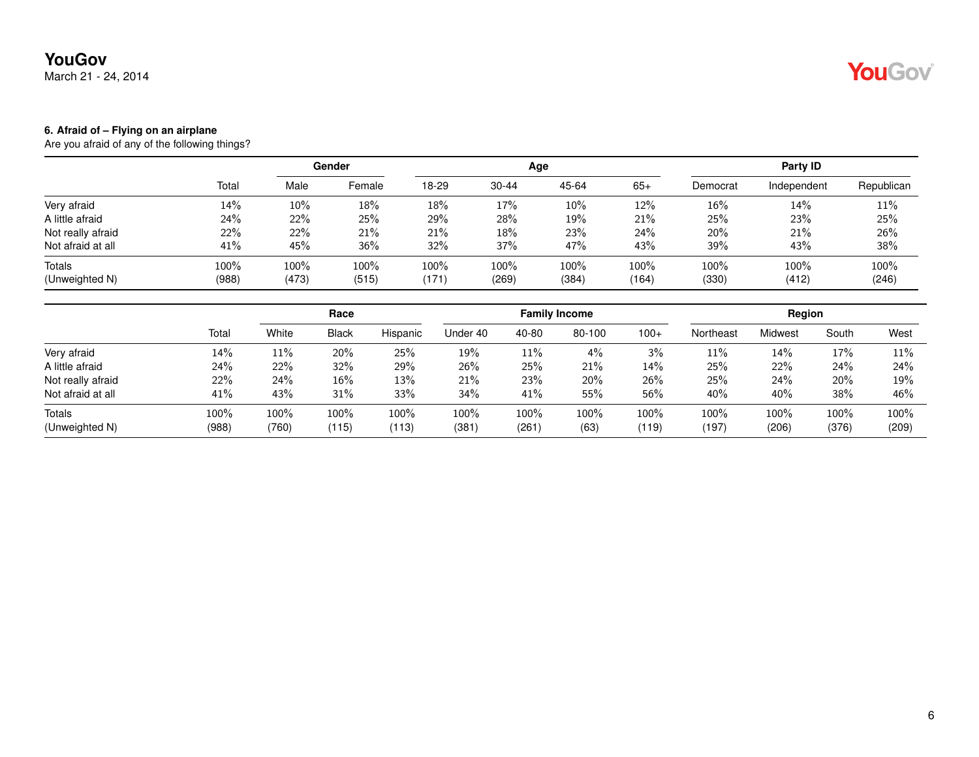March 21 - 24, 2014

# YouGov®

#### **6. Afraid of – Flying on an airplane**

|                          |               | Gender        |                  |                  |               | Age           | Party ID      |               |               |               |
|--------------------------|---------------|---------------|------------------|------------------|---------------|---------------|---------------|---------------|---------------|---------------|
|                          | Total         | Male          | Female           | 18-29            | $30 - 44$     | 45-64         | $65+$         | Democrat      | Independent   | Republican    |
| Very afraid              | 14%           | 10%           | 18%              | 18%              | 17%           | 10%           | 12%           | $16\%$        | 14%           | 11%           |
| A little afraid          | 24%           | 22%           | 25%              | 29%              | 28%           | 19%           | 21%           | 25%           | 23%           | 25%           |
| Not really afraid        | 22%           | 22%           | 21%              | 21%              | 18%           | 23%           | 24%           | 20%           | 21%           | 26%           |
| Not afraid at all        | 41%           | 45%           | $36\%$           | 32%              | 37%           | 47%           | 43%           | 39%           | 43%           | 38%           |
| Totals<br>(Unweighted N) | 100%<br>(988) | 100%<br>(473) | $100\%$<br>(515) | $100\%$<br>(171) | 100%<br>(269) | 100%<br>(384) | 100%<br>(164) | 100%<br>(330) | 100%<br>(412) | 100%<br>(246) |
|                          |               |               |                  |                  |               |               |               |               |               |               |

|                   |       |       | Race         |          |          |       | <b>Family Income</b> |        |           | Region  |       |       |
|-------------------|-------|-------|--------------|----------|----------|-------|----------------------|--------|-----------|---------|-------|-------|
|                   | Total | White | <b>Black</b> | Hispanic | Under 40 | 40-80 | 80-100               | $100+$ | Northeast | Midwest | South | West  |
| Very afraid       | 14%   | 11%   | 20%          | 25%      | 19%      | 11%   | 4%                   | 3%     | 11%       | 14%     | 17%   | 11%   |
| A little afraid   | 24%   | 22%   | 32%          | 29%      | 26%      | 25%   | 21%                  | 14%    | 25%       | 22%     | 24%   | 24%   |
| Not really afraid | 22%   | 24%   | 16%          | 13%      | 21%      | 23%   | 20%                  | 26%    | 25%       | 24%     | 20%   | 19%   |
| Not afraid at all | 41%   | 43%   | 31%          | 33%      | 34%      | 41%   | 55%                  | 56%    | 40%       | 40%     | 38%   | 46%   |
| Totals            | 100%  | 100%  | 100%         | 100%     | 100%     | 100%  | 100%                 | 100%   | 100%      | 100%    | 100%  | 100%  |
| (Unweighted N)    | (988) | (760) | (115)        | (113)    | (381)    | (261) | (63)                 | (119)  | (197)     | (206)   | (376) | (209) |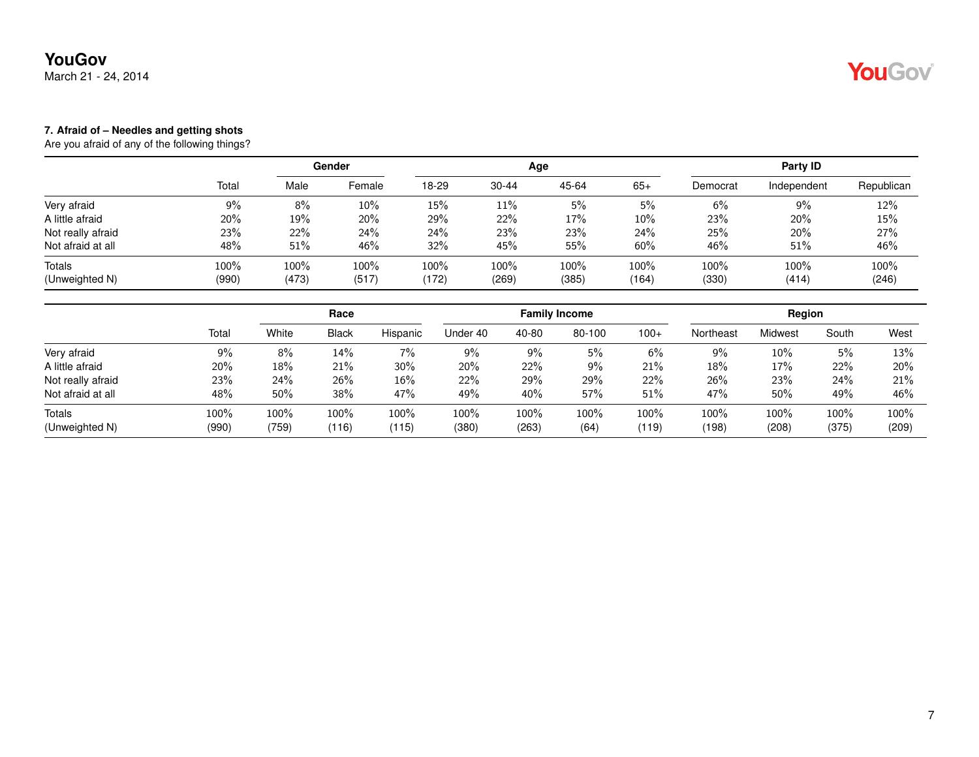March 21 - 24, 2014

## YouGov

#### **7. Afraid of – Needles and getting shots**

|                   |       | Gender |        |         |       | Age   |        | Party ID |             |            |  |
|-------------------|-------|--------|--------|---------|-------|-------|--------|----------|-------------|------------|--|
|                   | Total | Male   | Female | 18-29   | 30-44 | 45-64 | $65+$  | Democrat | Independent | Republican |  |
| Very afraid       | 9%    | 8%     | 10%    | 15%     | 11%   | 5%    | $5\%$  | 6%       | 9%          | 12%        |  |
| A little afraid   | 20%   | 19%    | 20%    | 29%     | 22%   | 17%   | $10\%$ | 23%      | 20%         | 15%        |  |
| Not really afraid | 23%   | 22%    | 24%    | 24%     | 23%   | 23%   | 24%    | 25%      | 20%         | 27%        |  |
| Not afraid at all | 48%   | 51%    | 46%    | 32%     | 45%   | 55%   | 60%    | 46%      | 51%         | 46%        |  |
| Totals            | 100%  | 100%   | 100%   | $100\%$ | 100%  | 100%  | 100%   | 100%     | $100\%$     | 100%       |  |
| (Unweighted N)    | (990) | (473)  | (517)  | (172)   | (269) | (385) | (164)  | (330)    | (414)       | (246)      |  |

|                   |       |       | Race         |          |          |       | <b>Family Income</b> |        |           | Region  |       |       |
|-------------------|-------|-------|--------------|----------|----------|-------|----------------------|--------|-----------|---------|-------|-------|
|                   | Total | White | <b>Black</b> | Hispanic | Under 40 | 40-80 | 80-100               | $100+$ | Northeast | Midwest | South | West  |
| Very afraid       | 9%    | 8%    | 14%          | 7%       | $9\%$    | 9%    | 5%                   | 6%     | 9%        | 10%     | 5%    | 13%   |
| A little afraid   | 20%   | 18%   | 21%          | 30%      | 20%      | 22%   | 9%                   | 21%    | 18%       | 17%     | 22%   | 20%   |
| Not really afraid | 23%   | 24%   | 26%          | 16%      | 22%      | 29%   | 29%                  | 22%    | 26%       | 23%     | 24%   | 21%   |
| Not afraid at all | 48%   | 50%   | 38%          | 47%      | 49%      | 40%   | 57%                  | 51%    | 47%       | 50%     | 49%   | 46%   |
| Totals            | 100%  | 100%  | 100%         | 100%     | 100%     | 100%  | 100%                 | 100%   | 100%      | 100%    | 100%  | 100%  |
| (Unweighted N)    | (990) | (759) | (116)        | (115)    | (380)    | (263) | (64)                 | (119)  | (198)     | (208)   | (375) | (209) |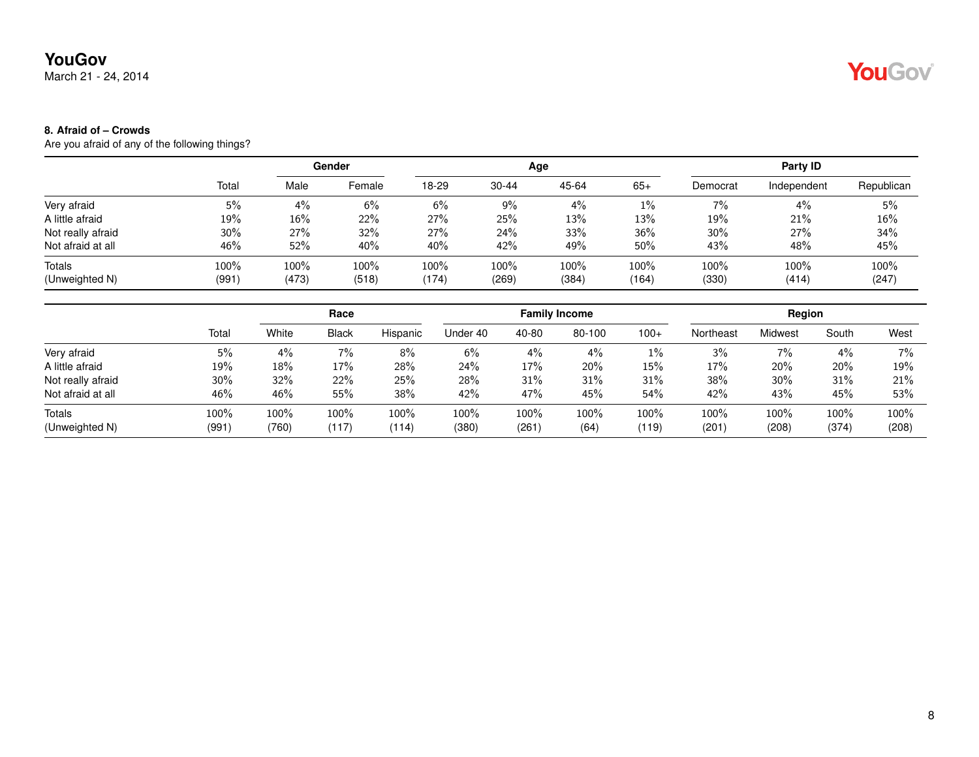March 21 - 24, 2014

# YouGov®

### **8. Afraid of – Crowds**

|                   |       | <b>Gender</b> |        |       |           | Age   |       | Party ID |             |            |  |
|-------------------|-------|---------------|--------|-------|-----------|-------|-------|----------|-------------|------------|--|
|                   | Total | Male          | Female | 18-29 | $30 - 44$ | 45-64 | $65+$ | Democrat | Independent | Republican |  |
| Very afraid       | 5%    | 4%            | 6%     | 6%    | 9%        | 4%    | $1\%$ | 7%       | $4\%$       | 5%         |  |
| A little afraid   | 19%   | 16%           | 22%    | 27%   | 25%       | 13%   | 13%   | 19%      | 21%         | 16%        |  |
| Not really afraid | 30%   | 27%           | 32%    | 27%   | 24%       | 33%   | 36%   | $30\%$   | 27%         | 34%        |  |
| Not afraid at all | 46%   | 52%           | 40%    | 40%   | 42%       | 49%   | 50%   | 43%      | 48%         | 45%        |  |
| Totals            | 100%  | 100%          | 100%   | 100%  | 100%      | 100%  | 100%  | 100%     | 100%        | 100%       |  |
| (Unweighted N)    | (991) | (473)         | (518)  | (174) | (269)     | (384) | (164) | (330)    | (414)       | (247)      |  |

|                   |        |       | Race         |          |          |       | <b>Family Income</b> |        |           | Region  |       |       |
|-------------------|--------|-------|--------------|----------|----------|-------|----------------------|--------|-----------|---------|-------|-------|
|                   | Total  | White | <b>Black</b> | Hispanic | Under 40 | 40-80 | 80-100               | $100+$ | Northeast | Midwest | South | West  |
| Very afraid       | 5%     | 4%    | 7%           | 8%       | 6%       | $4\%$ | 4%                   | $1\%$  | 3%        | $7\%$   | 4%    | $7\%$ |
| A little afraid   | 19%    | 18%   | 17%          | 28%      | 24%      | 17%   | 20%                  | 15%    | 17%       | 20%     | 20%   | 19%   |
| Not really afraid | $30\%$ | 32%   | 22%          | 25%      | 28%      | 31%   | 31%                  | 31%    | 38%       | 30%     | 31%   | 21%   |
| Not afraid at all | 46%    | 46%   | 55%          | 38%      | 42%      | 47%   | 45%                  | 54%    | 42%       | 43%     | 45%   | 53%   |
| Totals            | 100%   | 100%  | $100\%$      | $100\%$  | 100%     | 100%  | 100%                 | 100%   | 100%      | 100%    | 100%  | 100%  |
| (Unweighted N)    | (991)  | (760) | (117)        | (114)    | (380)    | (261  | (64)                 | (119)  | (201)     | (208)   | (374) | (208) |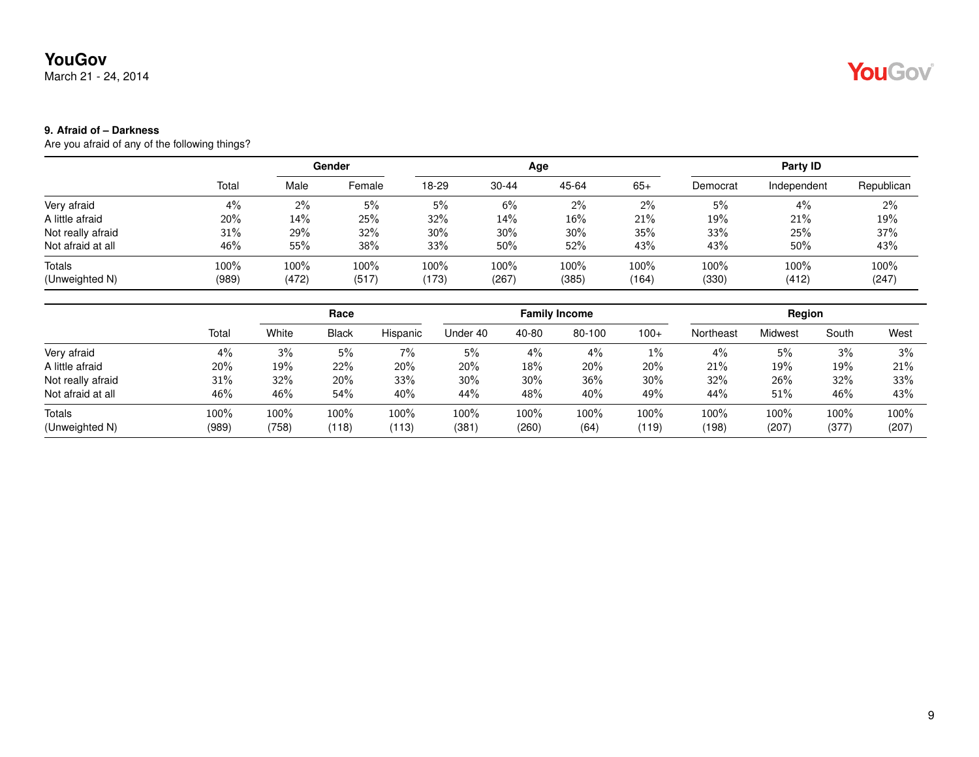March 21 - 24, 2014

# YouGov

### **9. Afraid of – Darkness**

|                   |       | <b>Gender</b> |        |       |           | Age    |       | Party ID |             |            |  |
|-------------------|-------|---------------|--------|-------|-----------|--------|-------|----------|-------------|------------|--|
|                   | Total | Male          | Female | 18-29 | $30 - 44$ | 45-64  | $65+$ | Democrat | Independent | Republican |  |
| Very afraid       | 4%    | $2\%$         | 5%     | 5%    | 6%        | $2\%$  | $2\%$ | 5%       | 4%          | 2%         |  |
| A little afraid   | 20%   | 14%           | 25%    | 32%   | 14%       | 16%    | 21%   | 19%      | 21%         | 19%        |  |
| Not really afraid | 31%   | 29%           | 32%    | 30%   | 30%       | $30\%$ | 35%   | 33%      | 25%         | 37%        |  |
| Not afraid at all | 46%   | 55%           | 38%    | 33%   | $50\%$    | 52%    | 43%   | 43%      | 50%         | 43%        |  |
| Totals            | 100%  | 100%          | 100%   | 100%  | 100%      | 100%   | 100%  | 100%     | 100%        | 100%       |  |
| (Unweighted N)    | (989) | (472)         | (517)  | (173) | (267)     | (385)  | (164) | (330)    | (412)       | (247)      |  |

|                   |       |       | Race         |          |          |        | <b>Family Income</b> |        |           | Region  |       |       |
|-------------------|-------|-------|--------------|----------|----------|--------|----------------------|--------|-----------|---------|-------|-------|
|                   | Total | White | <b>Black</b> | Hispanic | Under 40 | 40-80  | 80-100               | $100+$ | Northeast | Midwest | South | West  |
| Very afraid       | 4%    | 3%    | 5%           | 7%       | 5%       | 4%     | 4%                   | $1\%$  | 4%        | 5%      | 3%    | 3%    |
| A little afraid   | 20%   | 19%   | 22%          | 20%      | 20%      | 18%    | 20%                  | 20%    | 21%       | 19%     | 19%   | 21%   |
| Not really afraid | 31%   | 32%   | 20%          | 33%      | $30\%$   | $30\%$ | 36%                  | 30%    | 32%       | 26%     | 32%   | 33%   |
| Not afraid at all | 46%   | 46%   | 54%          | 40%      | 44%      | 48%    | 40%                  | 49%    | 44%       | 51%     | 46%   | 43%   |
| Totals            | 100%  | 100%  | 100%         | 100%     | 100%     | 100%   | 100%                 | 100%   | 100%      | 100%    | 100%  | 100%  |
| (Unweighted N)    | (989) | (758) | (118)        | (113)    | (381)    | (260)  | (64)                 | (119)  | (198)     | (207)   | (377) | (207) |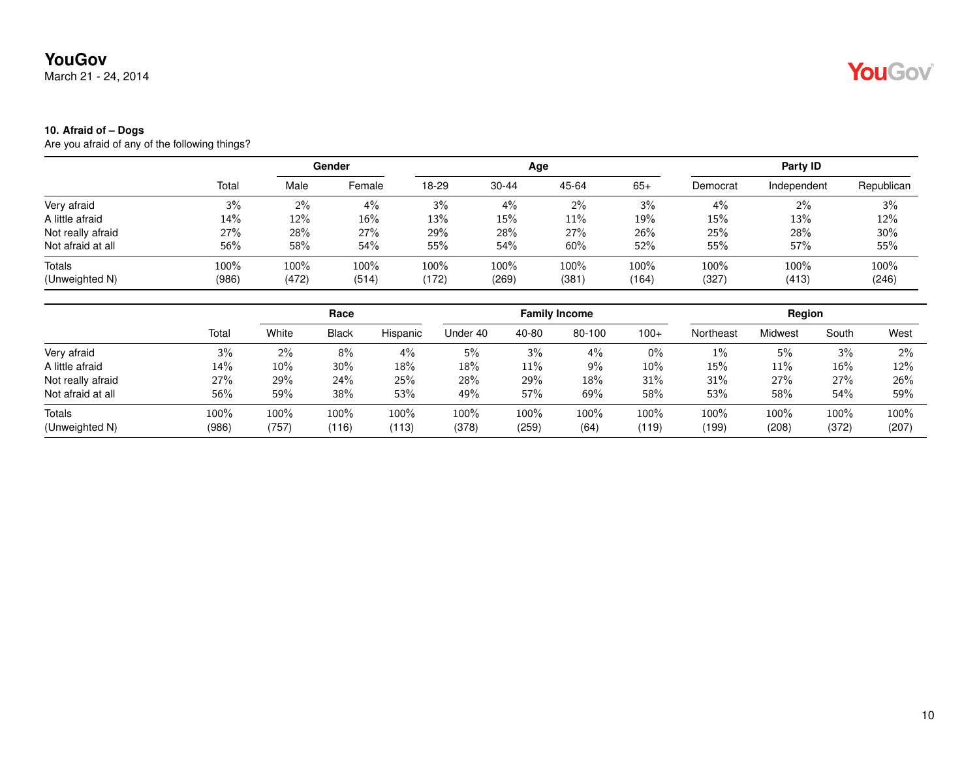March 21 - 24, 2014

## YouGov®

#### **10. Afraid of – Dogs**

|                          |               | Gender        |               |                  |               | Age           |               | Party ID      |               |               |
|--------------------------|---------------|---------------|---------------|------------------|---------------|---------------|---------------|---------------|---------------|---------------|
|                          | Total         | Male          | Female        | 18-29            | $30 - 44$     | 45-64         | $65+$         | Democrat      | Independent   | Republican    |
| Very afraid              | 3%            | $2\%$         | 4%            | 3%               | $4\%$         | 2%            | 3%            | 4%            | $2\%$         | 3%            |
| A little afraid          | 14%           | 12%           | 16%           | 13%              | 15%           | 11%           | 19%           | 15%           | 13%           | 12%           |
| Not really afraid        | 27%           | 28%           | 27%           | 29%              | 28%           | 27%           | 26%           | 25%           | 28%           | 30%           |
| Not afraid at all        | 56%           | 58%           | $54\%$        | 55%              | 54%           | 60%           | 52%           | 55%           | 57%           | 55%           |
| Totals<br>(Unweighted N) | 100%<br>(986) | 100%<br>(472) | 100%<br>(514) | $100\%$<br>(172) | 100%<br>(269) | 100%<br>(381) | 100%<br>(164) | 100%<br>(327) | 100%<br>(413) | 100%<br>(246) |
|                          |               |               |               |                  |               |               |               |               |               |               |

|                   |       |        | Race         |          |          |       | <b>Family Income</b> |        |           | Region  |       |       |
|-------------------|-------|--------|--------------|----------|----------|-------|----------------------|--------|-----------|---------|-------|-------|
|                   | Total | White  | <b>Black</b> | Hispanic | Under 40 | 40-80 | 80-100               | $100+$ | Northeast | Midwest | South | West  |
| Very afraid       | 3%    | 2%     | 8%           | 4%       | 5%       | 3%    | $4\%$                | 0%     | 1%        | 5%      | 3%    | 2%    |
| A little afraid   | 14%   | $10\%$ | $30\%$       | 18%      | 18%      | 11%   | 9%                   | $10\%$ | 15%       | 11%     | 16%   | 12%   |
| Not really afraid | 27%   | 29%    | 24%          | 25%      | 28%      | 29%   | 18%                  | 31%    | 31%       | 27%     | 27%   | 26%   |
| Not afraid at all | 56%   | 59%    | 38%          | 53%      | 49%      | 57%   | 69%                  | 58%    | 53%       | 58%     | 54%   | 59%   |
| Totals            | 100%  | 100%   | 100%         | 100%     | 100%     | 100%  | 100%                 | 100%   | 100%      | 100%    | 100%  | 100%  |
| (Unweighted N)    | (986) | (757)  | (116)        | (113)    | (378)    | (259) | (64)                 | (119)  | (199)     | (208)   | (372) | (207) |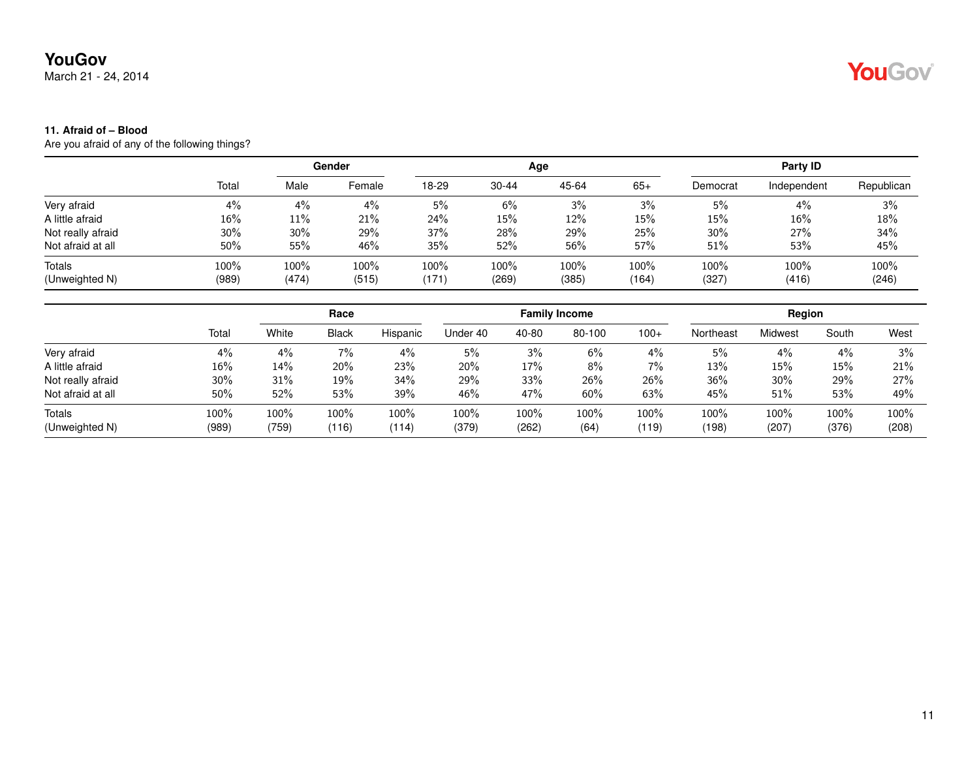March 21 - 24, 2014

## YouGov®

#### **11. Afraid of – Blood**

|                          |               |               | Gender        |               |                  | Age           |               |               | Party ID      |               |
|--------------------------|---------------|---------------|---------------|---------------|------------------|---------------|---------------|---------------|---------------|---------------|
|                          | Total         | Male          | Female        | 18-29         | $30 - 44$        | 45-64         | $65+$         | Democrat      | Independent   | Republican    |
| Very afraid              | 4%            | 4%            | 4%            | 5%            | 6%               | 3%            | 3%            | 5%            | 4%            | 3%            |
| A little afraid          | 16%           | $11\%$        | 21%           | 24%           | 15%              | 12%           | 15%           | 15%           | 16%           | 18%           |
| Not really afraid        | 30%           | 30%           | 29%           | 37%           | 28%              | 29%           | 25%           | 30%           | 27%           | 34%           |
| Not afraid at all        | 50%           | 55%           | 46%           | 35%           | 52%              | 56%           | 57%           | 51%           | 53%           | 45%           |
| Totals<br>(Unweighted N) | 100%<br>(989) | 100%<br>(474) | 100%<br>(515) | 100%<br>(171) | $100\%$<br>(269) | 100%<br>(385) | 100%<br>(164) | 100%<br>(327) | 100%<br>(416) | 100%<br>(246) |
|                          |               |               |               |               |                  |               |               |               |               |               |

|                   |        |       | Race         |          |          |       | <b>Family Income</b> |        |           | Region  |       |       |
|-------------------|--------|-------|--------------|----------|----------|-------|----------------------|--------|-----------|---------|-------|-------|
|                   | Total  | White | <b>Black</b> | Hispanic | Under 40 | 40-80 | 80-100               | $100+$ | Northeast | Midwest | South | West  |
| Very afraid       | 4%     | 4%    | 7%           | 4%       | 5%       | 3%    | 6%                   | $4\%$  | 5%        | $4\%$   | 4%    | 3%    |
| A little afraid   | 16%    | 14%   | 20%          | 23%      | 20%      | 17%   | 8%                   | $7\%$  | 13%       | 15%     | 15%   | 21%   |
| Not really afraid | $30\%$ | 31%   | 19%          | 34%      | 29%      | 33%   | 26%                  | 26%    | 36%       | 30%     | 29%   | 27%   |
| Not afraid at all | 50%    | 52%   | 53%          | 39%      | 46%      | 47%   | 60%                  | 63%    | 45%       | 51%     | 53%   | 49%   |
| Totals            | 100%   | 100%  | 100%         | 100%     | 100%     | 100%  | 100%                 | 100%   | 100%      | 100%    | 100%  | 100%  |
| (Unweighted N)    | (989)  | (759) | (116)        | (114)    | (379)    | (262) | (64)                 | (119)  | (198)     | (207)   | (376) | (208) |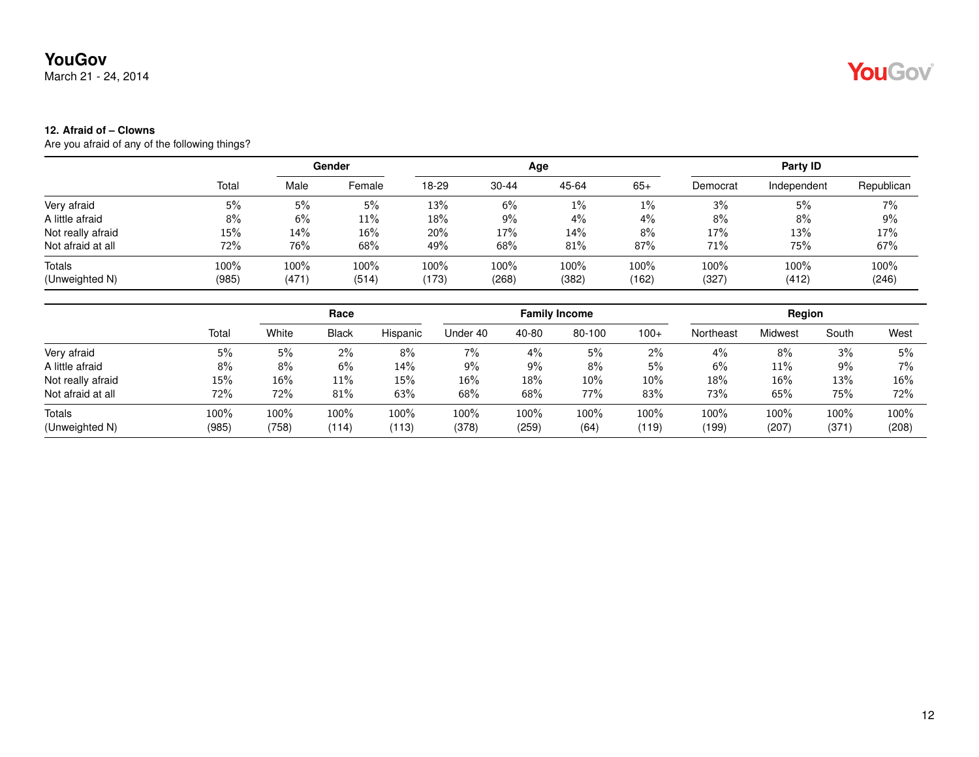March 21 - 24, 2014

# YouGov®

### **12. Afraid of – Clowns**

|                   |       |       | Gender |       |           | Age   |       |          | Party ID    |            |
|-------------------|-------|-------|--------|-------|-----------|-------|-------|----------|-------------|------------|
|                   | Total | Male  | Female | 18-29 | $30 - 44$ | 45-64 | $65+$ | Democrat | Independent | Republican |
| Very afraid       | 5%    | 5%    | 5%     | 13%   | 6%        | $1\%$ | $1\%$ | 3%       | 5%          | 7%         |
| A little afraid   | 8%    | 6%    | 11%    | 18%   | $9\%$     | 4%    | 4%    | 8%       | 8%          | 9%         |
| Not really afraid | 15%   | 14%   | 16%    | 20%   | 17%       | 14%   | 8%    | 17%      | 13%         | 17%        |
| Not afraid at all | 72%   | 76%   | 68%    | 49%   | 68%       | 81%   | 87%   | 71%      | 75%         | 67%        |
| Totals            | 100%  | 100%  | 100%   | 100%  | $100\%$   | 100%  | 100%  | 100%     | 100%        | 100%       |
| (Unweighted N)    | (985) | (471) | (514)  | (173) | (268)     | (382) | (162) | (327)    | (412)       | (246)      |

|                   |       |       | Race         |          |          |       | <b>Family Income</b> |        |           | Region  |       |       |
|-------------------|-------|-------|--------------|----------|----------|-------|----------------------|--------|-----------|---------|-------|-------|
|                   | Total | White | <b>Black</b> | Hispanic | Under 40 | 40-80 | 80-100               | $100+$ | Northeast | Midwest | South | West  |
| Very afraid       | 5%    | 5%    | 2%           | 8%       | 7%       | 4%    | 5%                   | 2%     | 4%        | 8%      | 3%    | 5%    |
| A little afraid   | 8%    | 8%    | 6%           | 14%      | 9%       | 9%    | 8%                   | 5%     | 6%        | 11%     | 9%    | 7%    |
| Not really afraid | 15%   | 16%   | 11%          | 15%      | 16%      | 18%   | 10%                  | 10%    | 18%       | 16%     | 13%   | 16%   |
| Not afraid at all | 72%   | 72%   | 81%          | 63%      | 68%      | 68%   | 77%                  | 83%    | 73%       | 65%     | 75%   | 72%   |
| Totals            | 100%  | 100%  | 100%         | 100%     | 100%     | 100%  | 100%                 | 100%   | 100%      | 100%    | 100%  | 100%  |
| (Unweighted N)    | (985) | (758) | (114)        | (113)    | (378)    | (259) | (64)                 | (119)  | (199)     | (207)   | (371) | (208) |